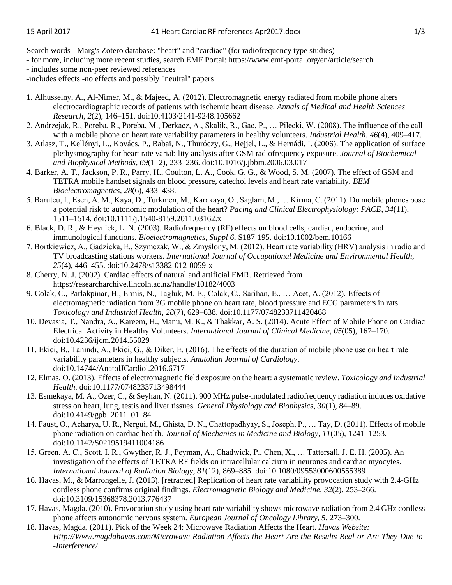Search words - Marg's Zotero database: "heart" and "cardiac" (for radiofrequency type studies) -

- for more, including more recent studies, search EMF Portal: https://www.emf-portal.org/en/article/search

- includes some non-peer reviewed references

-includes effects -no effects and possibly "neutral" papers

- 1. Alhusseiny, A., Al-Nimer, M., & Majeed, A. (2012). Electromagnetic energy radiated from mobile phone alters electrocardiographic records of patients with ischemic heart disease. *Annals of Medical and Health Sciences Research*, *2*(2), 146–151. doi:10.4103/2141-9248.105662
- 2. Andrzejak, R., Poreba, R., Poreba, M., Derkacz, A., Skalik, R., Gac, P., … Pilecki, W. (2008). The influence of the call with a mobile phone on heart rate variability parameters in healthy volunteers. *Industrial Health*, *46*(4), 409–417.
- 3. Atlasz, T., Kellényi, L., Kovács, P., Babai, N., Thuróczy, G., Hejjel, L., & Hernádi, I. (2006). The application of surface plethysmography for heart rate variability analysis after GSM radiofrequency exposure. *Journal of Biochemical and Biophysical Methods*, *69*(1–2), 233–236. doi:10.1016/j.jbbm.2006.03.017
- 4. Barker, A. T., Jackson, P. R., Parry, H., Coulton, L. A., Cook, G. G., & Wood, S. M. (2007). The effect of GSM and TETRA mobile handset signals on blood pressure, catechol levels and heart rate variability. *BEM Bioelectromagnetics*, *28*(6), 433–438.
- 5. Barutcu, I., Esen, A. M., Kaya, D., Turkmen, M., Karakaya, O., Saglam, M., … Kirma, C. (2011). Do mobile phones pose a potential risk to autonomic modulation of the heart? *Pacing and Clinical Electrophysiology: PACE*, *34*(11), 1511–1514. doi:10.1111/j.1540-8159.2011.03162.x
- 6. Black, D. R., & Heynick, L. N. (2003). Radiofrequency (RF) effects on blood cells, cardiac, endocrine, and immunological functions. *Bioelectromagnetics*, *Suppl 6*, S187-195. doi:10.1002/bem.10166
- 7. Bortkiewicz, A., Gadzicka, E., Szymczak, W., & Zmyślony, M. (2012). Heart rate variability (HRV) analysis in radio and TV broadcasting stations workers. *International Journal of Occupational Medicine and Environmental Health*, *25*(4), 446–455. doi:10.2478/s13382-012-0059-x
- 8. Cherry, N. J. (2002). Cardiac effects of natural and artificial EMR. Retrieved from https://researcharchive.lincoln.ac.nz/handle/10182/4003
- 9. Colak, C., Parlakpinar, H., Ermis, N., Tagluk, M. E., Colak, C., Sarihan, E., … Acet, A. (2012). Effects of electromagnetic radiation from 3G mobile phone on heart rate, blood pressure and ECG parameters in rats. *Toxicology and Industrial Health*, *28*(7), 629–638. doi:10.1177/0748233711420468
- 10. Devasia, T., Nandra, A., Kareem, H., Manu, M. K., & Thakkar, A. S. (2014). Acute Effect of Mobile Phone on Cardiac Electrical Activity in Healthy Volunteers. *International Journal of Clinical Medicine*, *05*(05), 167–170. doi:10.4236/ijcm.2014.55029
- 11. Ekici, B., Tanındı, A., Ekici, G., & Diker, E. (2016). The effects of the duration of mobile phone use on heart rate variability parameters in healthy subjects. *Anatolian Journal of Cardiology*. doi:10.14744/AnatolJCardiol.2016.6717
- 12. Elmas, O. (2013). Effects of electromagnetic field exposure on the heart: a systematic review. *Toxicology and Industrial Health*. doi:10.1177/0748233713498444
- 13. Esmekaya, M. A., Ozer, C., & Seyhan, N. (2011). 900 MHz pulse-modulated radiofrequency radiation induces oxidative stress on heart, lung, testis and liver tissues. *General Physiology and Biophysics*, *30*(1), 84–89. doi:10.4149/gpb\_2011\_01\_84
- 14. Faust, O., Acharya, U. R., Nergui, M., Ghista, D. N., Chattopadhyay, S., Joseph, P., … Tay, D. (2011). Effects of mobile phone radiation on cardiac health. *Journal of Mechanics in Medicine and Biology*, *11*(05), 1241–1253. doi:10.1142/S0219519411004186
- 15. Green, A. C., Scott, I. R., Gwyther, R. J., Peyman, A., Chadwick, P., Chen, X., … Tattersall, J. E. H. (2005). An investigation of the effects of TETRA RF fields on intracellular calcium in neurones and cardiac myocytes. *International Journal of Radiation Biology*, *81*(12), 869–885. doi:10.1080/09553000600555389
- 16. Havas, M., & Marrongelle, J. (2013). [retracted] Replication of heart rate variability provocation study with 2.4-GHz cordless phone confirms original findings. *Electromagnetic Biology and Medicine*, *32*(2), 253–266. doi:10.3109/15368378.2013.776437
- 17. Havas, Magda. (2010). Provocation study using heart rate variability shows microwave radiation from 2.4 GHz cordless phone affects autonomic nervous system. *European Journal of Oncology Library*, *5*, 273–300.
- 18. Havas, Magda. (2011). Pick of the Week 24: Microwave Radiation Affects the Heart. *Havas Website: Http://Www.magdahavas.com/Microwave-Radiation-Affects-the-Heart-Are-the-Results-Real-or-Are-They-Due-to -Interference/*.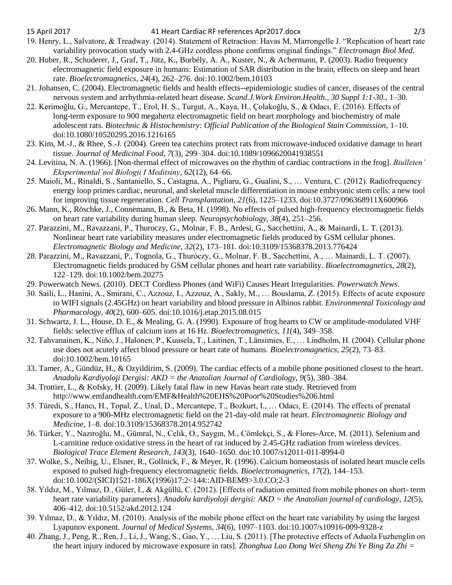- 19. Henry, L., Salvatore, & Treadway. (2014). Statement of Retraction: Havas M, Marrongelle J. "Replication of heart rate variability provocation study with 2.4-GHz cordless phone confirms original findings." *Electromagn Biol Med.*
- 20. Huber, R., Schuderer, J., Graf, T., Jütz, K., Borbély, A. A., Kuster, N., & Achermann, P. (2003). Radio frequency electromagnetic field exposure in humans: Estimation of SAR distribution in the brain, effects on sleep and heart rate. *Bioelectromagnetics*, *24*(4), 262–276. doi:10.1002/bem.10103
- 21. Johansen, C. (2004). Electromagnetic fields and health effects--epidemiologic studies of cancer, diseases of the central nervous system and arrhythmia-related heart disease. *Scand.J.Work Environ.Health.*, *30 Suppl 1:1*-*30.*, 1–30.
- 22. Kerimoğlu, G., Mercantepe, T., Erol, H. S., Turgut, A., Kaya, H., Çolakoğlu, S., & Odacı, E. (2016). Effects of long-term exposure to 900 megahertz electromagnetic field on heart morphology and biochemistry of male adolescent rats. *Biotechnic & Histochemistry: Official Publication of the Biological Stain Commission*, 1–10. doi:10.1080/10520295.2016.1216165
- 23. Kim, M.-J., & Rhee, S.-J. (2004). Green tea catechins protect rats from microwave-induced oxidative damage to heart tissue. *Journal of Medicinal Food*, *7*(3), 299–304. doi:10.1089/1096620041938551
- 24. Levitina, N. A. (1966). [Non-thermal effect of microwaves on the rhythm of cardiac contractions in the frog]. *Biulleten' Eksperimental'noĭ Biologii I Meditsiny*, *62*(12), 64–66.
- 25. Maioli, M., Rinaldi, S., Santaniello, S., Castagna, A., Pigliaru, G., Gualini, S., … Ventura, C. (2012). Radiofrequency energy loop primes cardiac, neuronal, and skeletal muscle differentiation in mouse embryonic stem cells: a new tool for improving tissue regeneration. *Cell Transplantation*, *21*(6), 1225–1233. doi:10.3727/096368911X600966
- 26. Mann, K., Röschke, J., Connemann, B., & Beta, H. (1998). No effects of pulsed high-frequency electromagnetic fields on heart rate variability during human sleep. *Neuropsychobiology*, *38*(4), 251–256.
- 27. Parazzini, M., Ravazzani, P., Thuroczy, G., Molnar, F. B., Ardesi, G., Sacchettini, A., & Mainardi, L. T. (2013). Nonlinear heart rate variability measures under electromagnetic fields produced by GSM cellular phones. *Electromagnetic Biology and Medicine*, *32*(2), 173–181. doi:10.3109/15368378.2013.776424
- 28. Parazzini, M., Ravazzani, P., Tognola, G., Thuróczy, G., Molnar, F. B., Sacchettini, A., … Mainardi, L. T. (2007). Electromagnetic fields produced by GSM cellular phones and heart rate variability. *Bioelectromagnetics*, *28*(2), 122–129. doi:10.1002/bem.20275
- 29. Powerwatch News. (2010). DECT Cordless Phones (and WiFi) Causes Heart Irregularities. *Powerwatch News*.
- 30. Saili, L., Hanini, A., Smirani, C., Azzouz, I., Azzouz, A., Sakly, M., … Bouslama, Z. (2015). Effects of acute exposure to WIFI signals (2.45GHz) on heart variability and blood pressure in Albinos rabbit. *Environmental Toxicology and Pharmacology*, *40*(2), 600–605. doi:10.1016/j.etap.2015.08.015
- 31. Schwartz, J. L., House, D. E., & Mealing, G. A. (1990). Exposure of frog hearts to CW or amplitude-modulated VHF fields: selective efflux of calcium ions at 16 Hz. *Bioelectromagnetics*, *11*(4), 349–358.
- 32. Tahvanainen, K., Niño, J., Halonen, P., Kuusela, T., Laitinen, T., Länsimies, E., … Lindholm, H. (2004). Cellular phone use does not acutely affect blood pressure or heart rate of humans. *Bioelectromagnetics*, *25*(2), 73–83. doi:10.1002/bem.10165
- 33. Tamer, A., Gündüz, H., & Ozyildirim, S. (2009). The cardiac effects of a mobile phone positioned closest to the heart. *Anadolu Kardiyoloji Dergisi: AKD = the Anatolian Journal of Cardiology*, *9*(5), 380–384.
- 34. Trottier, L., & Kofsky, H. (2009). Likely fatal flaw in new Havas heart rate study. Retrieved from http://www.emfandhealth.com/EMF&Health%20EHS%20Poor%20Studies%206.html
- 35. Türedi, S., Hancı, H., Topal, Z., Unal, D., Mercantepe, T., Bozkurt, I., … Odacı, E. (2014). The effects of prenatal exposure to a 900-MHz electromagnetic field on the 21-day-old male rat heart. *Electromagnetic Biology and Medicine*, 1–8. doi:10.3109/15368378.2014.952742
- 36. Türker, Y., Nazıroğlu, M., Gümral, N., Celik, O., Saygın, M., Cömlekçi, S., & Flores-Arce, M. (2011). Selenium and L-carnitine reduce oxidative stress in the heart of rat induced by 2.45-GHz radiation from wireless devices. *Biological Trace Element Research*, *143*(3), 1640–1650. doi:10.1007/s12011-011-8994-0
- 37. Wolke, S., Neibig, U., Elsner, R., Gollnick, F., & Meyer, R. (1996). Calcium homeostasis of isolated heart muscle cells exposed to pulsed high-frequency electromagnetic fields. *Bioelectromagnetics*, *17*(2), 144–153. doi:10.1002/(SICI)1521-186X(1996)17:2<144::AID-BEM9>3.0.CO;2-3
- 38. Yıldız, M., Yılmaz, D., Güler, I., & Akgüllü, C. (2012). [Effects of radiation emitted from mobile phones on short- term heart rate variability parameters]. *Anadolu kardiyoloji dergisi: AKD = the Anatolian journal of cardiology*, *12*(5), 406–412. doi:10.5152/akd.2012.124
- 39. Yılmaz, D., & Yıldız, M. (2010). Analysis of the mobile phone effect on the heart rate variability by using the largest Lyapunov exponent. *Journal of Medical Systems*, *34*(6), 1097–1103. doi:10.1007/s10916-009-9328-z
- 40. Zhang, J., Peng, R., Ren, J., Li, J., Wang, S., Gao, Y., … Liu, S. (2011). [The protective effects of Aduola Fuzhenglin on the heart injury induced by microwave exposure in rats]. *Zhonghua Lao Dong Wei Sheng Zhi Ye Bing Za Zhi =*